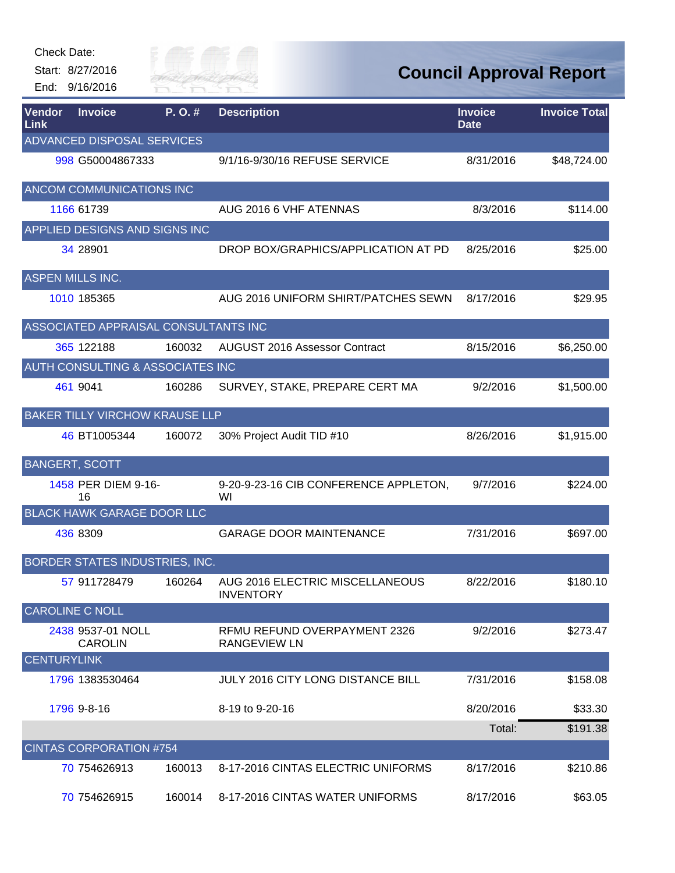| End: 9/16/2016                          | City of<br>River Fai |                                                     |                               | <b>Council Approval Report</b> |
|-----------------------------------------|----------------------|-----------------------------------------------------|-------------------------------|--------------------------------|
| <b>Vendor</b><br><b>Invoice</b><br>Link | P.O.#                | <b>Description</b>                                  | <b>Invoice</b><br><b>Date</b> | <b>Invoice Total</b>           |
| ADVANCED DISPOSAL SERVICES              |                      |                                                     |                               |                                |
| 998 G50004867333                        |                      | 9/1/16-9/30/16 REFUSE SERVICE                       | 8/31/2016                     | \$48,724.00                    |
| ANCOM COMMUNICATIONS INC                |                      |                                                     |                               |                                |
| 1166 61739                              |                      | AUG 2016 6 VHF ATENNAS                              | 8/3/2016                      | \$114.00                       |
| APPLIED DESIGNS AND SIGNS INC           |                      |                                                     |                               |                                |
| 34 28901                                |                      | DROP BOX/GRAPHICS/APPLICATION AT PD                 | 8/25/2016                     | \$25.00                        |
| <b>ASPEN MILLS INC.</b>                 |                      |                                                     |                               |                                |
| 1010 185365                             |                      | AUG 2016 UNIFORM SHIRT/PATCHES SEWN                 | 8/17/2016                     | \$29.95                        |
| ASSOCIATED APPRAISAL CONSULTANTS INC    |                      |                                                     |                               |                                |
| 365 122188                              | 160032               | AUGUST 2016 Assessor Contract                       | 8/15/2016                     | \$6,250.00                     |
| AUTH CONSULTING & ASSOCIATES INC        |                      |                                                     |                               |                                |
| 461 9041                                | 160286               | SURVEY, STAKE, PREPARE CERT MA                      | 9/2/2016                      | \$1,500.00                     |
| <b>BAKER TILLY VIRCHOW KRAUSE LLP</b>   |                      |                                                     |                               |                                |
| 46 BT1005344                            | 160072               | 30% Project Audit TID #10                           | 8/26/2016                     | \$1,915.00                     |
| <b>BANGERT, SCOTT</b>                   |                      |                                                     |                               |                                |
| 1458 PER DIEM 9-16-<br>16               | WI                   | 9-20-9-23-16 CIB CONFERENCE APPLETON,               | 9/7/2016                      | \$224.00                       |
| <b>BLACK HAWK GARAGE DOOR LLC</b>       |                      |                                                     |                               |                                |
|                                         |                      |                                                     |                               |                                |
| 436 8309                                |                      | <b>GARAGE DOOR MAINTENANCE</b>                      | 7/31/2016                     | \$697.00                       |
| BORDER STATES INDUSTRIES, INC.          |                      |                                                     |                               |                                |
| 57 911728479                            | 160264               | AUG 2016 ELECTRIC MISCELLANEOUS<br><b>INVENTORY</b> | 8/22/2016                     | \$180.10                       |
| <b>CAROLINE C NOLL</b>                  |                      |                                                     |                               |                                |
| 2438 9537-01 NOLL<br><b>CAROLIN</b>     |                      | RFMU REFUND OVERPAYMENT 2326<br><b>RANGEVIEW LN</b> | 9/2/2016                      |                                |
| <b>CENTURYLINK</b>                      |                      |                                                     |                               | \$273.47                       |
| 1796 1383530464                         |                      | <b>JULY 2016 CITY LONG DISTANCE BILL</b>            | 7/31/2016                     | \$158.08                       |
| 1796 9-8-16                             |                      | 8-19 to 9-20-16                                     | 8/20/2016                     | \$33.30                        |

|                         |        |                                    | Total:    | \$191.38 |
|-------------------------|--------|------------------------------------|-----------|----------|
| CINTAS CORPORATION #754 |        |                                    |           |          |
| 70 754626913            | 160013 | 8-17-2016 CINTAS ELECTRIC UNIFORMS | 8/17/2016 | \$210.86 |
| 70 754626915            | 160014 | 8-17-2016 CINTAS WATER UNIFORMS    | 8/17/2016 | \$63.05  |

Check Date:



## **ort**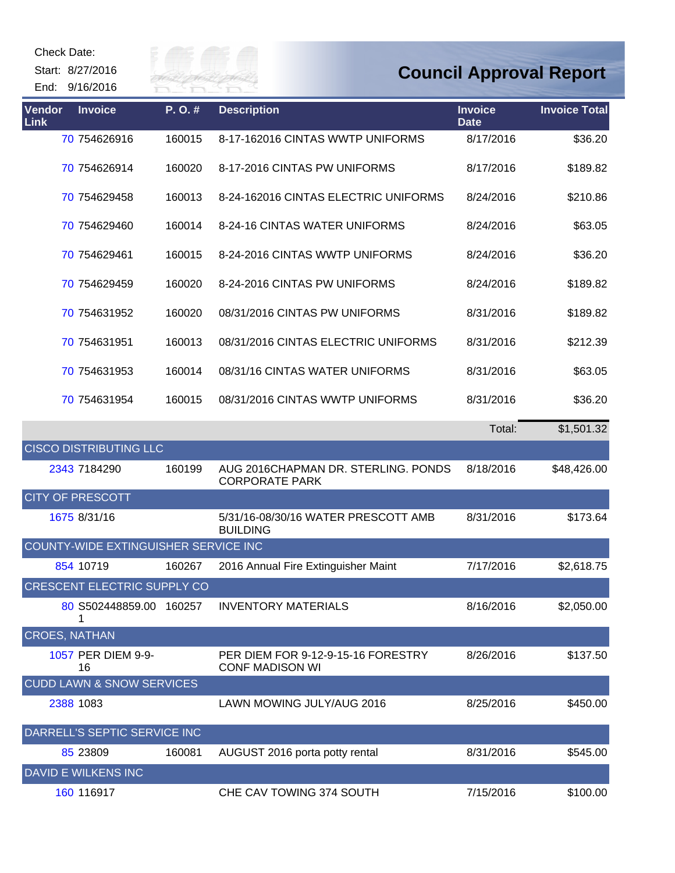| <b>Check Date:</b><br>Start: 8/27/2016<br>End: 9/16/2016 |                                      |        | ER FAI                                                       |                               | <b>Council Approval Report</b> |
|----------------------------------------------------------|--------------------------------------|--------|--------------------------------------------------------------|-------------------------------|--------------------------------|
| <b>Vendor</b><br>Link                                    | <b>Invoice</b>                       | P.O.#  | <b>Description</b>                                           | <b>Invoice</b><br><b>Date</b> | <b>Invoice Total</b>           |
|                                                          | 70 754626916                         | 160015 | 8-17-162016 CINTAS WWTP UNIFORMS                             | 8/17/2016                     | \$36.20                        |
|                                                          | 70 754626914                         | 160020 | 8-17-2016 CINTAS PW UNIFORMS                                 | 8/17/2016                     | \$189.82                       |
|                                                          | 70 754629458                         | 160013 | 8-24-162016 CINTAS ELECTRIC UNIFORMS                         | 8/24/2016                     | \$210.86                       |
|                                                          | 70 754629460                         | 160014 | 8-24-16 CINTAS WATER UNIFORMS                                | 8/24/2016                     | \$63.05                        |
|                                                          | 70 754629461                         | 160015 | 8-24-2016 CINTAS WWTP UNIFORMS                               | 8/24/2016                     | \$36.20                        |
|                                                          | 70 754629459                         | 160020 | 8-24-2016 CINTAS PW UNIFORMS                                 | 8/24/2016                     | \$189.82                       |
|                                                          | 70 754631952                         | 160020 | 08/31/2016 CINTAS PW UNIFORMS                                | 8/31/2016                     | \$189.82                       |
|                                                          | 70 754631951                         | 160013 | 08/31/2016 CINTAS ELECTRIC UNIFORMS                          | 8/31/2016                     | \$212.39                       |
|                                                          | 70 754631953                         | 160014 | 08/31/16 CINTAS WATER UNIFORMS                               | 8/31/2016                     | \$63.05                        |
|                                                          | 70 754631954                         | 160015 | 08/31/2016 CINTAS WWTP UNIFORMS                              | 8/31/2016                     | \$36.20                        |
|                                                          |                                      |        |                                                              | Total:                        | \$1,501.32                     |
|                                                          | <b>CISCO DISTRIBUTING LLC</b>        |        |                                                              |                               |                                |
|                                                          | 2343 7184290                         | 160199 | AUG 2016CHAPMAN DR. STERLING. PONDS<br><b>CORPORATE PARK</b> | 8/18/2016                     | \$48,426.00                    |
| <b>CITY OF PRESCOTT</b>                                  |                                      |        |                                                              |                               |                                |
|                                                          | 1675 8/31/16                         |        | 5/31/16-08/30/16 WATER PRESCOTT AMB<br><b>BUILDING</b>       | 8/31/2016                     | \$173.64                       |
|                                                          | COUNTY-WIDE EXTINGUISHER SERVICE INC |        |                                                              |                               |                                |
|                                                          | 854 10719                            | 160267 | 2016 Annual Fire Extinguisher Maint                          | 7/17/2016                     | \$2,618.75                     |
|                                                          | CRESCENT ELECTRIC SUPPLY CO          |        |                                                              |                               |                                |
|                                                          | 80 S502448859.00 160257<br>1         |        | <b>INVENTORY MATERIALS</b>                                   | 8/16/2016                     | \$2,050.00                     |
| <b>CROES, NATHAN</b>                                     |                                      |        |                                                              |                               |                                |
|                                                          | 1057 PER DIEM 9-9-<br>16             |        | PER DIEM FOR 9-12-9-15-16 FORESTRY<br><b>CONF MADISON WI</b> | 8/26/2016                     | \$137.50                       |
|                                                          | <b>CUDD LAWN &amp; SNOW SERVICES</b> |        |                                                              |                               |                                |
| 2388 1083                                                |                                      |        | LAWN MOWING JULY/AUG 2016                                    | 8/25/2016                     | \$450.00                       |
|                                                          | DARRELL'S SEPTIC SERVICE INC         |        |                                                              |                               |                                |
|                                                          | 85 23809                             | 160081 | AUGUST 2016 porta potty rental                               | 8/31/2016                     | \$545.00                       |
|                                                          | DAVID E WILKENS INC                  |        |                                                              |                               |                                |
|                                                          | 160 116917                           |        | CHE CAV TOWING 374 SOUTH                                     | 7/15/2016                     | \$100.00                       |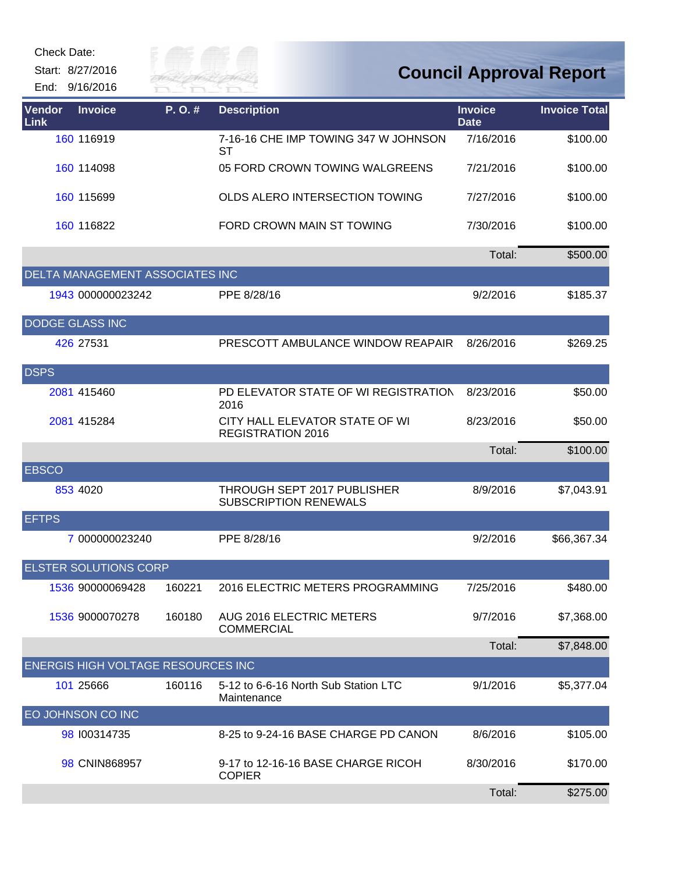| <b>Check Date:</b><br>Start: 8/27/2016<br>End: 9/16/2016 | City of<br>River Fai |                                                            |                               | <b>Council Approval Report</b> |
|----------------------------------------------------------|----------------------|------------------------------------------------------------|-------------------------------|--------------------------------|
| Vendor<br><b>Invoice</b><br>Link                         | P.O.#                | <b>Description</b>                                         | <b>Invoice</b><br><b>Date</b> | <b>Invoice Total</b>           |
| 160 116919                                               |                      | 7-16-16 CHE IMP TOWING 347 W JOHNSON<br><b>ST</b>          | 7/16/2016                     | \$100.00                       |
| 160 114098                                               |                      | 05 FORD CROWN TOWING WALGREENS                             | 7/21/2016                     | \$100.00                       |
| 160 115699                                               |                      | OLDS ALERO INTERSECTION TOWING                             | 7/27/2016                     | \$100.00                       |
| 160 116822                                               |                      | FORD CROWN MAIN ST TOWING                                  | 7/30/2016                     | \$100.00                       |
|                                                          |                      |                                                            | Total:                        | \$500.00                       |
| DELTA MANAGEMENT ASSOCIATES INC                          |                      |                                                            |                               |                                |
| 1943 000000023242                                        |                      | PPE 8/28/16                                                | 9/2/2016                      | \$185.37                       |
| <b>DODGE GLASS INC</b>                                   |                      |                                                            |                               |                                |
| 426 27531                                                |                      | PRESCOTT AMBULANCE WINDOW REAPAIR                          | 8/26/2016                     | \$269.25                       |
| <b>DSPS</b>                                              |                      |                                                            |                               |                                |
| 2081 415460                                              |                      | PD ELEVATOR STATE OF WI REGISTRATION<br>2016               | 8/23/2016                     | \$50.00                        |
| 2081 415284                                              |                      | CITY HALL ELEVATOR STATE OF WI<br><b>REGISTRATION 2016</b> | 8/23/2016                     | \$50.00                        |
|                                                          |                      |                                                            | Total:                        | \$100.00                       |
| <b>EBSCO</b>                                             |                      |                                                            |                               |                                |
| 853 4020                                                 |                      | THROUGH SEPT 2017 PUBLISHER<br>SUBSCRIPTION RENEWALS       | 8/9/2016                      | \$7,043.91                     |
| <b>EFTPS</b>                                             |                      |                                                            |                               |                                |
| 7 000000023240                                           |                      | PPE 8/28/16                                                | 9/2/2016                      | \$66,367.34                    |
| <b>ELSTER SOLUTIONS CORP</b>                             |                      |                                                            |                               |                                |
| 1536 90000069428                                         | 160221               | 2016 ELECTRIC METERS PROGRAMMING                           | 7/25/2016                     | \$480.00                       |
| 1536 9000070278                                          | 160180               | AUG 2016 ELECTRIC METERS<br><b>COMMERCIAL</b>              | 9/7/2016                      | \$7,368.00                     |
|                                                          |                      |                                                            | Total:                        | \$7,848.00                     |
| <b>ENERGIS HIGH VOLTAGE RESOURCES INC</b>                |                      |                                                            |                               |                                |
| 101 25666                                                | 160116               | 5-12 to 6-6-16 North Sub Station LTC<br>Maintenance        | 9/1/2016                      | \$5,377.04                     |
| EO JOHNSON CO INC                                        |                      |                                                            |                               |                                |
| 98 100314735                                             |                      | 8-25 to 9-24-16 BASE CHARGE PD CANON                       | 8/6/2016                      | \$105.00                       |
| 98 CNIN868957                                            |                      | 9-17 to 12-16-16 BASE CHARGE RICOH<br><b>COPIER</b>        | 8/30/2016                     | \$170.00                       |
|                                                          |                      |                                                            | Total:                        | \$275.00                       |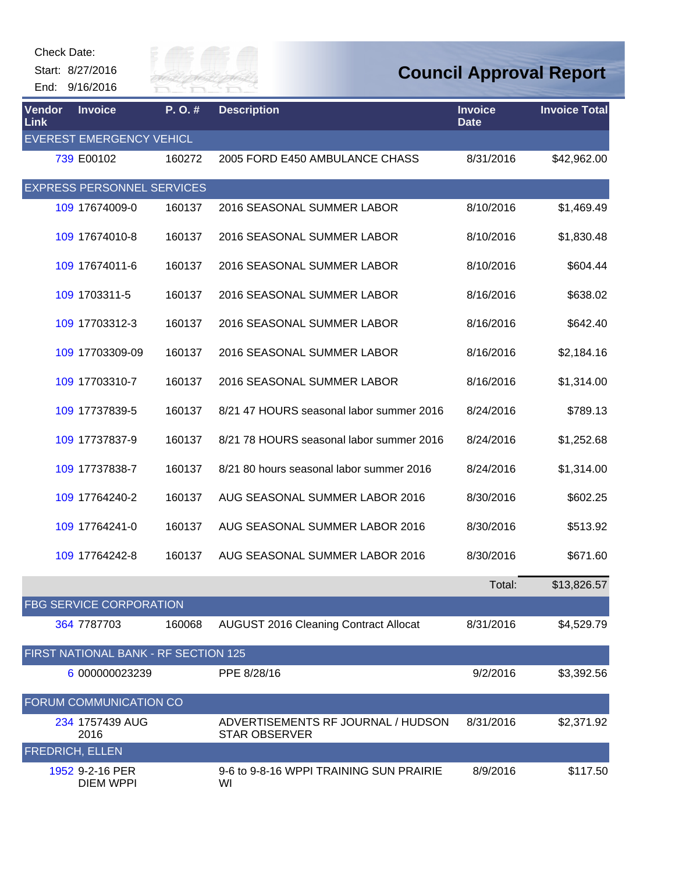| Check Date:                  |                                      |           |                                                            |                               |                                |
|------------------------------|--------------------------------------|-----------|------------------------------------------------------------|-------------------------------|--------------------------------|
|                              | Start: 8/27/2016<br>End: 9/16/2016   | US OF FIL | VER FAI                                                    |                               | <b>Council Approval Report</b> |
| <b>Vendor</b><br><b>Link</b> | <b>Invoice</b>                       | P.O.#     | <b>Description</b>                                         | <b>Invoice</b><br><b>Date</b> | <b>Invoice Total</b>           |
|                              | <b>EVEREST EMERGENCY VEHICL</b>      |           |                                                            |                               |                                |
|                              | 739 E00102                           | 160272    | 2005 FORD E450 AMBULANCE CHASS                             | 8/31/2016                     | \$42,962.00                    |
|                              | <b>EXPRESS PERSONNEL SERVICES</b>    |           |                                                            |                               |                                |
|                              | 109 17674009-0                       | 160137    | 2016 SEASONAL SUMMER LABOR                                 | 8/10/2016                     | \$1,469.49                     |
|                              | 109 17674010-8                       | 160137    | 2016 SEASONAL SUMMER LABOR                                 | 8/10/2016                     | \$1,830.48                     |
|                              | 109 17674011-6                       | 160137    | 2016 SEASONAL SUMMER LABOR                                 | 8/10/2016                     | \$604.44                       |
|                              | 109 1703311-5                        | 160137    | 2016 SEASONAL SUMMER LABOR                                 | 8/16/2016                     | \$638.02                       |
|                              | 109 17703312-3                       | 160137    | 2016 SEASONAL SUMMER LABOR                                 | 8/16/2016                     | \$642.40                       |
|                              | 109 17703309-09                      | 160137    | 2016 SEASONAL SUMMER LABOR                                 | 8/16/2016                     | \$2,184.16                     |
|                              | 109 17703310-7                       | 160137    | 2016 SEASONAL SUMMER LABOR                                 | 8/16/2016                     | \$1,314.00                     |
|                              | 109 17737839-5                       | 160137    | 8/21 47 HOURS seasonal labor summer 2016                   | 8/24/2016                     | \$789.13                       |
|                              | 109 17737837-9                       | 160137    | 8/21 78 HOURS seasonal labor summer 2016                   | 8/24/2016                     | \$1,252.68                     |
|                              | 109 17737838-7                       | 160137    | 8/21 80 hours seasonal labor summer 2016                   | 8/24/2016                     | \$1,314.00                     |
|                              | 109 17764240-2                       | 160137    | AUG SEASONAL SUMMER LABOR 2016                             | 8/30/2016                     | \$602.25                       |
|                              | 109 17764241-0                       | 160137    | AUG SEASONAL SUMMER LABOR 2016                             | 8/30/2016                     | \$513.92                       |
|                              | 109 17764242-8                       | 160137    | AUG SEASONAL SUMMER LABOR 2016                             | 8/30/2016                     | \$671.60                       |
|                              |                                      |           |                                                            | Total:                        | \$13,826.57                    |
|                              | <b>FBG SERVICE CORPORATION</b>       |           |                                                            |                               |                                |
|                              | 364 7787703                          | 160068    | <b>AUGUST 2016 Cleaning Contract Allocat</b>               | 8/31/2016                     | \$4,529.79                     |
|                              | FIRST NATIONAL BANK - RF SECTION 125 |           |                                                            |                               |                                |
|                              | 6 000000023239                       |           | PPE 8/28/16                                                | 9/2/2016                      | \$3,392.56                     |
|                              | FORUM COMMUNICATION CO               |           |                                                            |                               |                                |
|                              | 234 1757439 AUG<br>2016              |           | ADVERTISEMENTS RF JOURNAL / HUDSON<br><b>STAR OBSERVER</b> | 8/31/2016                     | \$2,371.92                     |
|                              | <b>FREDRICH, ELLEN</b>               |           |                                                            |                               |                                |
|                              | 1952 9-2-16 PER<br><b>DIEM WPPI</b>  |           | 9-6 to 9-8-16 WPPI TRAINING SUN PRAIRIE<br>WI              | 8/9/2016                      | \$117.50                       |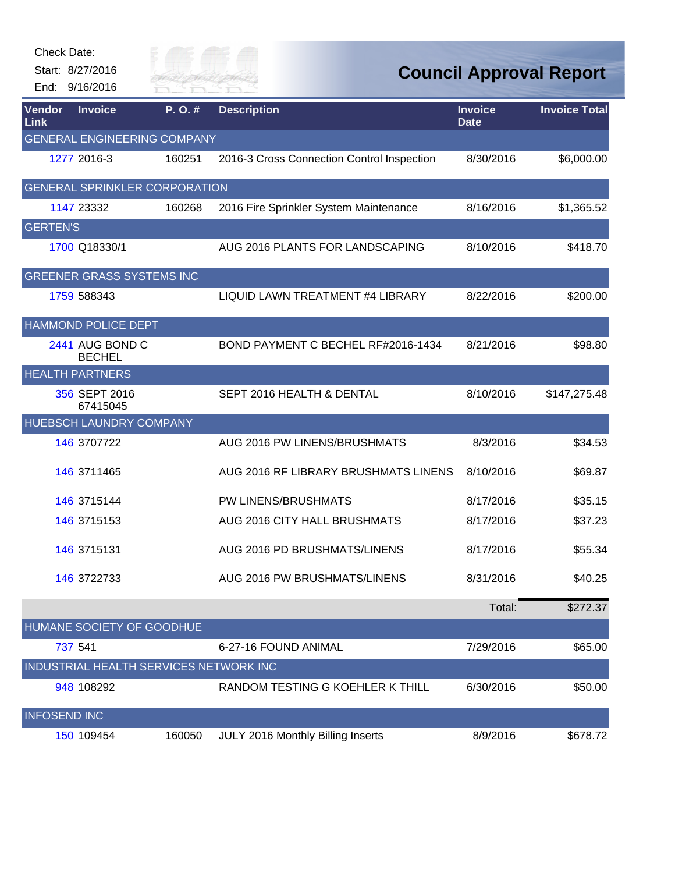| <b>Check Date:</b>           |                                        |            |                                            |                               |                                |
|------------------------------|----------------------------------------|------------|--------------------------------------------|-------------------------------|--------------------------------|
|                              | Start: 8/27/2016                       | Filly of T |                                            |                               | <b>Council Approval Report</b> |
|                              | End: 9/16/2016                         | RIVER FAI  |                                            |                               |                                |
| <b>Vendor</b><br><b>Link</b> | <b>Invoice</b>                         | P.O.#      | <b>Description</b>                         | <b>Invoice</b><br><b>Date</b> | <b>Invoice Total</b>           |
|                              | <b>GENERAL ENGINEERING COMPANY</b>     |            |                                            |                               |                                |
|                              | 1277 2016-3                            | 160251     | 2016-3 Cross Connection Control Inspection | 8/30/2016                     | \$6,000.00                     |
|                              | <b>GENERAL SPRINKLER CORPORATION</b>   |            |                                            |                               |                                |
|                              | 1147 23332                             | 160268     | 2016 Fire Sprinkler System Maintenance     | 8/16/2016                     | \$1,365.52                     |
| <b>GERTEN'S</b>              |                                        |            |                                            |                               |                                |
|                              | 1700 Q18330/1                          |            | AUG 2016 PLANTS FOR LANDSCAPING            | 8/10/2016                     | \$418.70                       |
|                              | <b>GREENER GRASS SYSTEMS INC</b>       |            |                                            |                               |                                |
|                              | 1759 588343                            |            | LIQUID LAWN TREATMENT #4 LIBRARY           | 8/22/2016                     | \$200.00                       |
|                              | <b>HAMMOND POLICE DEPT</b>             |            |                                            |                               |                                |
|                              | 2441 AUG BOND C<br><b>BECHEL</b>       |            | BOND PAYMENT C BECHEL RF#2016-1434         | 8/21/2016                     | \$98.80                        |
|                              | <b>HEALTH PARTNERS</b>                 |            |                                            |                               |                                |
|                              | 356 SEPT 2016<br>67415045              |            | SEPT 2016 HEALTH & DENTAL                  | 8/10/2016                     | \$147,275.48                   |
|                              | HUEBSCH LAUNDRY COMPANY                |            |                                            |                               |                                |
|                              | 146 3707722                            |            | AUG 2016 PW LINENS/BRUSHMATS               | 8/3/2016                      | \$34.53                        |
|                              | 146 3711465                            |            | AUG 2016 RF LIBRARY BRUSHMATS LINENS       | 8/10/2016                     | \$69.87                        |
|                              | 146 3715144                            |            | PW LINENS/BRUSHMATS                        | 8/17/2016                     | \$35.15                        |
|                              | 146 3715153                            |            | AUG 2016 CITY HALL BRUSHMATS               | 8/17/2016                     | \$37.23                        |
|                              | 146 3715131                            |            | AUG 2016 PD BRUSHMATS/LINENS               | 8/17/2016                     | \$55.34                        |
|                              | 146 3722733                            |            | AUG 2016 PW BRUSHMATS/LINENS               | 8/31/2016                     | \$40.25                        |
|                              |                                        |            |                                            | Total:                        | \$272.37                       |
|                              | HUMANE SOCIETY OF GOODHUE              |            |                                            |                               |                                |
|                              | 737 541                                |            | 6-27-16 FOUND ANIMAL                       | 7/29/2016                     | \$65.00                        |
|                              | INDUSTRIAL HEALTH SERVICES NETWORK INC |            |                                            |                               |                                |
|                              | 948 108292                             |            | RANDOM TESTING G KOEHLER K THILL           | 6/30/2016                     | \$50.00                        |
| <b>INFOSEND INC</b>          |                                        |            |                                            |                               |                                |
|                              | 150 109454                             | 160050     | JULY 2016 Monthly Billing Inserts          | 8/9/2016                      | \$678.72                       |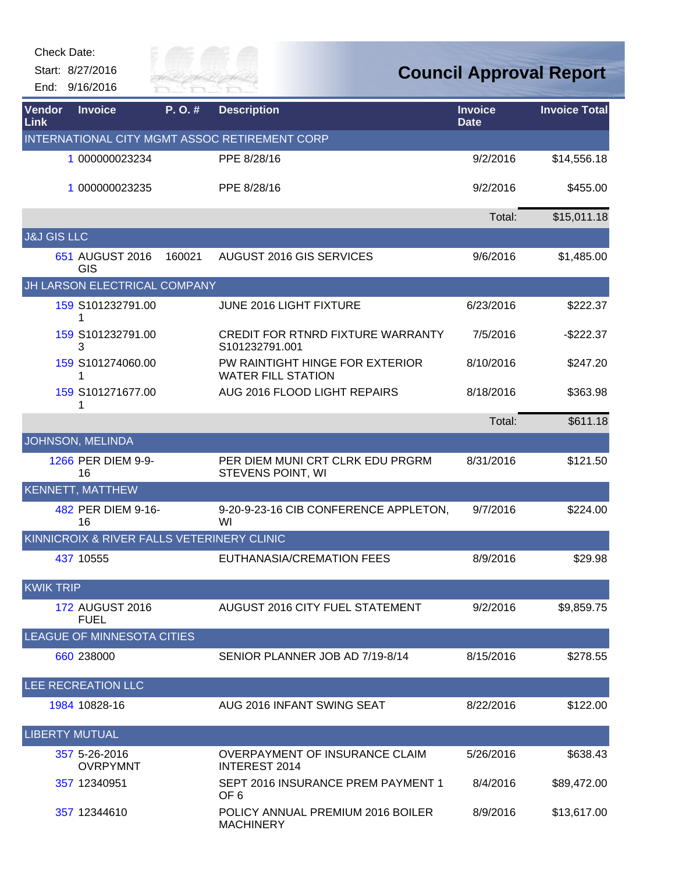| Check Date:                  |                                            |                     |                                                              |                                |                      |
|------------------------------|--------------------------------------------|---------------------|--------------------------------------------------------------|--------------------------------|----------------------|
|                              | Start: 8/27/2016<br>End: 9/16/2016         | ily of<br>River Fai |                                                              | <b>Council Approval Report</b> |                      |
| <b>Vendor</b><br><b>Link</b> | <b>Invoice</b>                             | P.O.#               | <b>Description</b>                                           | <b>Invoice</b><br><b>Date</b>  | <b>Invoice Total</b> |
|                              |                                            |                     | INTERNATIONAL CITY MGMT ASSOC RETIREMENT CORP                |                                |                      |
|                              | 1 000000023234                             |                     | PPE 8/28/16                                                  | 9/2/2016                       | \$14,556.18          |
|                              | 1 000000023235                             |                     | PPE 8/28/16                                                  | 9/2/2016                       | \$455.00             |
|                              |                                            |                     |                                                              | Total:                         | \$15,011.18          |
| <b>J&amp;J GIS LLC</b>       |                                            |                     |                                                              |                                |                      |
|                              | 651 AUGUST 2016<br>GIS                     | 160021              | AUGUST 2016 GIS SERVICES                                     | 9/6/2016                       | \$1,485.00           |
|                              | JH LARSON ELECTRICAL COMPANY               |                     |                                                              |                                |                      |
|                              | 159 S101232791.00<br>1                     |                     | JUNE 2016 LIGHT FIXTURE                                      | 6/23/2016                      | \$222.37             |
|                              | 159 S101232791.00<br>3                     |                     | <b>CREDIT FOR RTNRD FIXTURE WARRANTY</b><br>S101232791.001   | 7/5/2016                       | $-$222.37$           |
|                              | 159 S101274060.00<br>1                     |                     | PW RAINTIGHT HINGE FOR EXTERIOR<br><b>WATER FILL STATION</b> | 8/10/2016                      | \$247.20             |
|                              | 159 S101271677.00<br>1                     |                     | AUG 2016 FLOOD LIGHT REPAIRS                                 | 8/18/2016                      | \$363.98             |
|                              |                                            |                     |                                                              | Total:                         | \$611.18             |
|                              | JOHNSON, MELINDA                           |                     |                                                              |                                |                      |
|                              | 1266 PER DIEM 9-9-<br>16                   |                     | PER DIEM MUNI CRT CLRK EDU PRGRM<br>STEVENS POINT, WI        | 8/31/2016                      | \$121.50             |
|                              | <b>KENNETT, MATTHEW</b>                    |                     |                                                              |                                |                      |
|                              | 482 PER DIEM 9-16-<br>16                   |                     | 9-20-9-23-16 CIB CONFERENCE APPLETON,<br>WI                  | 9/7/2016                       | \$224.00             |
|                              | KINNICROIX & RIVER FALLS VETERINERY CLINIC |                     |                                                              |                                |                      |
|                              | 437 10555                                  |                     | EUTHANASIA/CREMATION FEES                                    | 8/9/2016                       | \$29.98              |
| <b>KWIK TRIP</b>             |                                            |                     |                                                              |                                |                      |
|                              | 172 AUGUST 2016<br><b>FUEL</b>             |                     | AUGUST 2016 CITY FUEL STATEMENT                              | 9/2/2016                       | \$9,859.75           |
|                              | <b>LEAGUE OF MINNESOTA CITIES</b>          |                     |                                                              |                                |                      |
|                              | 660 238000                                 |                     | SENIOR PLANNER JOB AD 7/19-8/14                              | 8/15/2016                      | \$278.55             |
|                              | LEE RECREATION LLC                         |                     |                                                              |                                |                      |
|                              | 1984 10828-16                              |                     | AUG 2016 INFANT SWING SEAT                                   | 8/22/2016                      | \$122.00             |
| <b>LIBERTY MUTUAL</b>        |                                            |                     |                                                              |                                |                      |
|                              | 357 5-26-2016<br><b>OVRPYMNT</b>           |                     | OVERPAYMENT OF INSURANCE CLAIM<br><b>INTEREST 2014</b>       | 5/26/2016                      | \$638.43             |
|                              | 357 12340951                               |                     | SEPT 2016 INSURANCE PREM PAYMENT 1<br>OF <sub>6</sub>        | 8/4/2016                       | \$89,472.00          |
|                              | 357 12344610                               |                     | POLICY ANNUAL PREMIUM 2016 BOILER<br><b>MACHINERY</b>        | 8/9/2016                       | \$13,617.00          |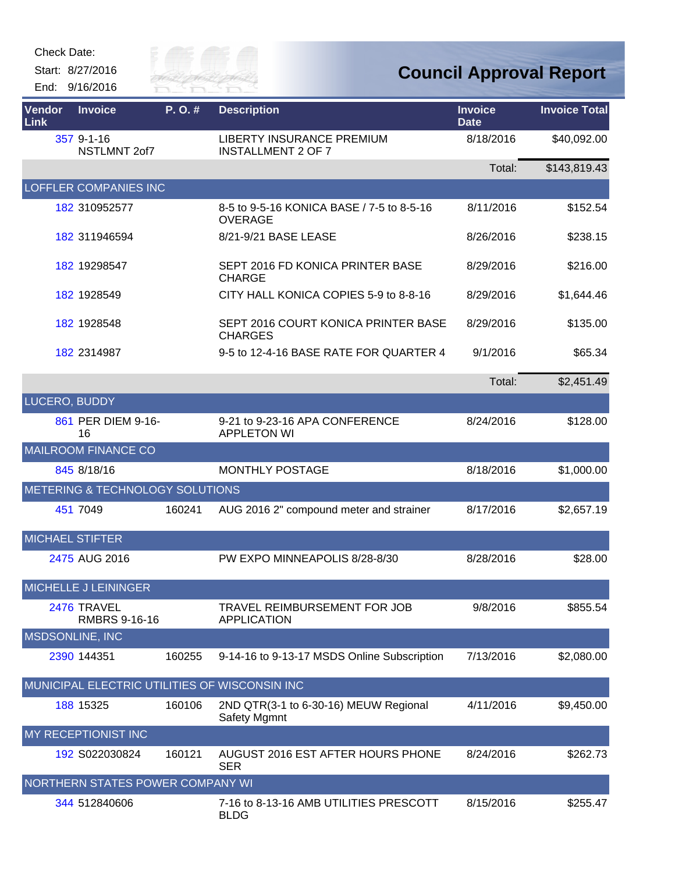Check Date:

Start: 8/27/2016 End: 9/16/2016



## **Council Approval Report**

| Vendor<br>Link | <b>Invoice</b>                      | P.O.#  | <b>Description</b>                                          | <b>Invoice</b><br><b>Date</b> | <b>Invoice Total</b> |
|----------------|-------------------------------------|--------|-------------------------------------------------------------|-------------------------------|----------------------|
|                | 357 9-1-16<br>NSTLMNT 2of7          |        | LIBERTY INSURANCE PREMIUM<br><b>INSTALLMENT 2 OF 7</b>      | 8/18/2016                     | \$40,092.00          |
|                |                                     |        |                                                             | Total:                        | \$143,819.43         |
|                | <b>LOFFLER COMPANIES INC</b>        |        |                                                             |                               |                      |
|                | 182 310952577                       |        | 8-5 to 9-5-16 KONICA BASE / 7-5 to 8-5-16<br><b>OVERAGE</b> | 8/11/2016                     | \$152.54             |
|                | 182 311946594                       |        | 8/21-9/21 BASE LEASE                                        | 8/26/2016                     | \$238.15             |
|                | 182 19298547                        |        | SEPT 2016 FD KONICA PRINTER BASE<br><b>CHARGE</b>           | 8/29/2016                     | \$216.00             |
|                | 182 1928549                         |        | CITY HALL KONICA COPIES 5-9 to 8-8-16                       | 8/29/2016                     | \$1,644.46           |
|                | 182 1928548                         |        | SEPT 2016 COURT KONICA PRINTER BASE<br><b>CHARGES</b>       | 8/29/2016                     | \$135.00             |
|                | 182 2314987                         |        | 9-5 to 12-4-16 BASE RATE FOR QUARTER 4                      | 9/1/2016                      | \$65.34              |
|                |                                     |        |                                                             | Total:                        | \$2,451.49           |
| LUCERO, BUDDY  |                                     |        |                                                             |                               |                      |
|                | 861 PER DIEM 9-16-<br>16            |        | 9-21 to 9-23-16 APA CONFERENCE<br><b>APPLETON WI</b>        | 8/24/2016                     | \$128.00             |
|                | <b>MAILROOM FINANCE CO</b>          |        |                                                             |                               |                      |
|                | 845 8/18/16                         |        | MONTHLY POSTAGE                                             | 8/18/2016                     | \$1,000.00           |
|                | METERING & TECHNOLOGY SOLUTIONS     |        |                                                             |                               |                      |
|                | 451 7049                            | 160241 | AUG 2016 2" compound meter and strainer                     | 8/17/2016                     | \$2,657.19           |
|                | <b>MICHAEL STIFTER</b>              |        |                                                             |                               |                      |
|                | 2475 AUG 2016                       |        | PW EXPO MINNEAPOLIS 8/28-8/30                               | 8/28/2016                     | \$28.00              |
|                | <b>MICHELLE J LEININGER</b>         |        |                                                             |                               |                      |
|                | 2476 TRAVEL<br><b>RMBRS 9-16-16</b> |        | TRAVEL REIMBURSEMENT FOR JOB<br><b>APPLICATION</b>          | 9/8/2016                      | \$855.54             |
|                | <b>MSDSONLINE, INC</b>              |        |                                                             |                               |                      |
|                | 2390 144351                         | 160255 | 9-14-16 to 9-13-17 MSDS Online Subscription                 | 7/13/2016                     | \$2,080.00           |
|                |                                     |        | MUNICIPAL ELECTRIC UTILITIES OF WISCONSIN INC               |                               |                      |
|                | 188 15325                           | 160106 | 2ND QTR(3-1 to 6-30-16) MEUW Regional<br>Safety Mgmnt       | 4/11/2016                     | \$9,450.00           |
|                | MY RECEPTIONIST INC                 |        |                                                             |                               |                      |
|                | 192 S022030824                      | 160121 | AUGUST 2016 EST AFTER HOURS PHONE<br><b>SER</b>             | 8/24/2016                     | \$262.73             |
|                | NORTHERN STATES POWER COMPANY WI    |        |                                                             |                               |                      |
|                | 344 512840606                       |        | 7-16 to 8-13-16 AMB UTILITIES PRESCOTT<br><b>BLDG</b>       | 8/15/2016                     | \$255.47             |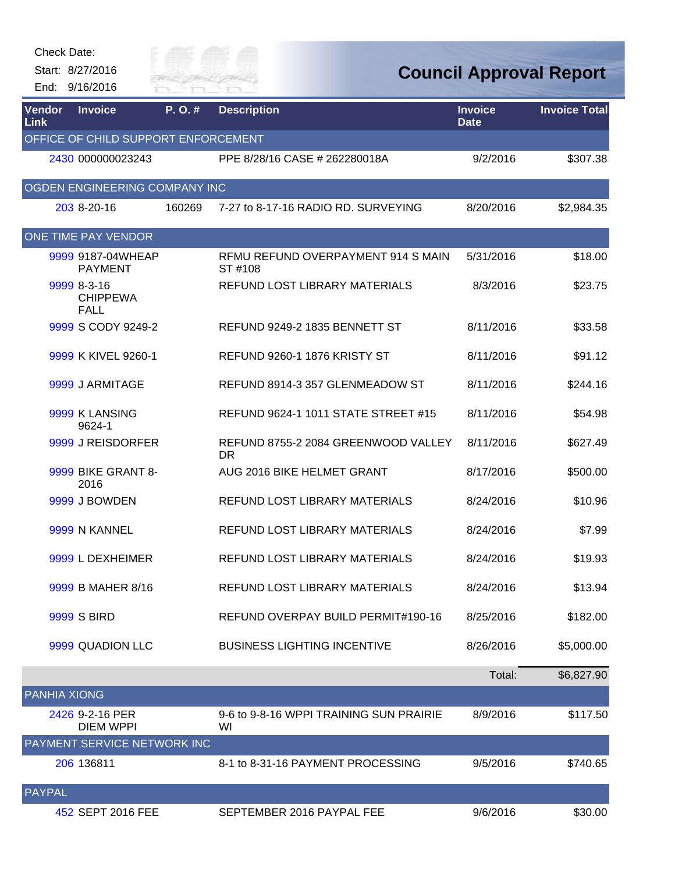| Check Date:         | Start: 8/27/2016<br>End: 9/16/2016            | au or =<br>IVER FA |                                                  |                               | <b>Council Approval Report</b> |
|---------------------|-----------------------------------------------|--------------------|--------------------------------------------------|-------------------------------|--------------------------------|
| Vendor<br>Link      | <b>Invoice</b>                                | P.O.#              | <b>Description</b>                               | <b>Invoice</b><br><b>Date</b> | <b>Invoice Total</b>           |
|                     | OFFICE OF CHILD SUPPORT ENFORCEMENT           |                    |                                                  |                               |                                |
|                     | 2430 000000023243                             |                    | PPE 8/28/16 CASE # 262280018A                    | 9/2/2016                      | \$307.38                       |
|                     | OGDEN ENGINEERING COMPANY INC                 |                    |                                                  |                               |                                |
|                     | 203 8-20-16                                   | 160269             | 7-27 to 8-17-16 RADIO RD. SURVEYING              | 8/20/2016                     | \$2,984.35                     |
|                     | ONE TIME PAY VENDOR                           |                    |                                                  |                               |                                |
|                     | 9999 9187-04WHEAP<br><b>PAYMENT</b>           |                    | RFMU REFUND OVERPAYMENT 914 S MAIN<br>ST #108    | 5/31/2016                     | \$18.00                        |
|                     | 9999 8-3-16<br><b>CHIPPEWA</b><br><b>FALL</b> |                    | REFUND LOST LIBRARY MATERIALS                    | 8/3/2016                      | \$23.75                        |
|                     | 9999 S CODY 9249-2                            |                    | REFUND 9249-2 1835 BENNETT ST                    | 8/11/2016                     | \$33.58                        |
|                     | 9999 K KIVEL 9260-1                           |                    | REFUND 9260-1 1876 KRISTY ST                     | 8/11/2016                     | \$91.12                        |
|                     | 9999 J ARMITAGE                               |                    | REFUND 8914-3 357 GLENMEADOW ST                  | 8/11/2016                     | \$244.16                       |
|                     | 9999 K LANSING<br>9624-1                      |                    | REFUND 9624-1 1011 STATE STREET #15              | 8/11/2016                     | \$54.98                        |
|                     | 9999 J REISDORFER                             |                    | REFUND 8755-2 2084 GREENWOOD VALLEY<br><b>DR</b> | 8/11/2016                     | \$627.49                       |
|                     | 9999 BIKE GRANT 8-<br>2016                    |                    | AUG 2016 BIKE HELMET GRANT                       | 8/17/2016                     | \$500.00                       |
|                     | 9999 J BOWDEN                                 |                    | <b>REFUND LOST LIBRARY MATERIALS</b>             | 8/24/2016                     | \$10.96                        |
|                     | 9999 N KANNEL                                 |                    | REFUND LOST LIBRARY MATERIALS                    | 8/24/2016                     | \$7.99                         |
|                     | 9999 L DEXHEIMER                              |                    | REFUND LOST LIBRARY MATERIALS                    | 8/24/2016                     | \$19.93                        |
|                     | 9999 B MAHER 8/16                             |                    | REFUND LOST LIBRARY MATERIALS                    | 8/24/2016                     | \$13.94                        |
|                     | 9999 S BIRD                                   |                    | REFUND OVERPAY BUILD PERMIT#190-16               | 8/25/2016                     | \$182.00                       |
|                     | 9999 QUADION LLC                              |                    | <b>BUSINESS LIGHTING INCENTIVE</b>               | 8/26/2016                     | \$5,000.00                     |
|                     |                                               |                    |                                                  | Total:                        | \$6,827.90                     |
| <b>PANHIA XIONG</b> |                                               |                    |                                                  |                               |                                |
|                     | 2426 9-2-16 PER<br><b>DIEM WPPI</b>           |                    | 9-6 to 9-8-16 WPPI TRAINING SUN PRAIRIE<br>WI    | 8/9/2016                      | \$117.50                       |
|                     | <b>PAYMENT SERVICE NETWORK INC</b>            |                    |                                                  |                               |                                |
|                     | 206 136811                                    |                    | 8-1 to 8-31-16 PAYMENT PROCESSING                | 9/5/2016                      | \$740.65                       |
| <b>PAYPAL</b>       |                                               |                    |                                                  |                               |                                |
|                     | 452 SEPT 2016 FEE                             |                    | SEPTEMBER 2016 PAYPAL FEE                        | 9/6/2016                      | \$30.00                        |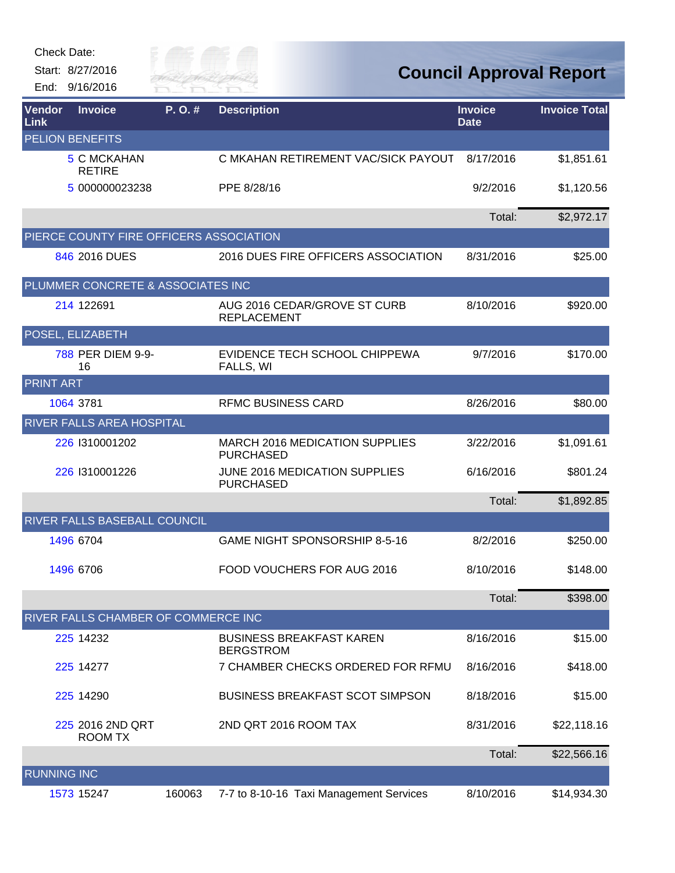| Check Date:        | Start: 8/27/2016<br>End: 9/16/2016      | City of<br>River Fai |                                                           |                               | <b>Council Approval Report</b> |
|--------------------|-----------------------------------------|----------------------|-----------------------------------------------------------|-------------------------------|--------------------------------|
| Vendor<br>Link     | <b>Invoice</b>                          | P.O.#                | <b>Description</b>                                        | <b>Invoice</b><br><b>Date</b> | <b>Invoice Total</b>           |
|                    | <b>PELION BENEFITS</b>                  |                      |                                                           |                               |                                |
|                    | 5 C MCKAHAN<br><b>RETIRE</b>            |                      | C MKAHAN RETIREMENT VAC/SICK PAYOUT                       | 8/17/2016                     | \$1,851.61                     |
|                    | 5 000000023238                          |                      | PPE 8/28/16                                               | 9/2/2016                      | \$1,120.56                     |
|                    |                                         |                      |                                                           | Total:                        | \$2,972.17                     |
|                    | PIERCE COUNTY FIRE OFFICERS ASSOCIATION |                      |                                                           |                               |                                |
|                    | 846 2016 DUES                           |                      | 2016 DUES FIRE OFFICERS ASSOCIATION                       | 8/31/2016                     | \$25.00                        |
|                    | PLUMMER CONCRETE & ASSOCIATES INC       |                      |                                                           |                               |                                |
|                    | 214 122691                              |                      | AUG 2016 CEDAR/GROVE ST CURB<br><b>REPLACEMENT</b>        | 8/10/2016                     | \$920.00                       |
|                    | POSEL, ELIZABETH                        |                      |                                                           |                               |                                |
|                    | 788 PER DIEM 9-9-<br>16                 |                      | EVIDENCE TECH SCHOOL CHIPPEWA<br>FALLS, WI                | 9/7/2016                      | \$170.00                       |
| <b>PRINT ART</b>   |                                         |                      |                                                           |                               |                                |
|                    | 1064 3781                               |                      | <b>RFMC BUSINESS CARD</b>                                 | 8/26/2016                     | \$80.00                        |
|                    | <b>RIVER FALLS AREA HOSPITAL</b>        |                      |                                                           |                               |                                |
|                    | 226 1310001202                          |                      | <b>MARCH 2016 MEDICATION SUPPLIES</b><br><b>PURCHASED</b> | 3/22/2016                     | \$1,091.61                     |
|                    | 226 1310001226                          |                      | JUNE 2016 MEDICATION SUPPLIES<br><b>PURCHASED</b>         | 6/16/2016                     | \$801.24                       |
|                    |                                         |                      |                                                           | Total:                        | \$1,892.85                     |
|                    | RIVER FALLS BASEBALL COUNCIL            |                      |                                                           |                               |                                |
|                    | 1496 6704                               |                      | GAME NIGHT SPONSORSHIP 8-5-16                             | 8/2/2016                      | \$250.00                       |
|                    | 1496 6706                               |                      | FOOD VOUCHERS FOR AUG 2016                                | 8/10/2016                     | \$148.00                       |
|                    |                                         |                      |                                                           | Total:                        | \$398.00                       |
|                    | RIVER FALLS CHAMBER OF COMMERCE INC     |                      |                                                           |                               |                                |
|                    | 225 14232                               |                      | <b>BUSINESS BREAKFAST KAREN</b><br><b>BERGSTROM</b>       | 8/16/2016                     | \$15.00                        |
|                    | 225 14277                               |                      | 7 CHAMBER CHECKS ORDERED FOR RFMU                         | 8/16/2016                     | \$418.00                       |
|                    | 225 14290                               |                      | <b>BUSINESS BREAKFAST SCOT SIMPSON</b>                    | 8/18/2016                     | \$15.00                        |
|                    | 225 2016 2ND QRT<br><b>ROOM TX</b>      |                      | 2ND QRT 2016 ROOM TAX                                     | 8/31/2016                     | \$22,118.16                    |
|                    |                                         |                      |                                                           | Total:                        | \$22,566.16                    |
| <b>RUNNING INC</b> |                                         |                      |                                                           |                               |                                |
|                    | 1573 15247                              | 160063               | 7-7 to 8-10-16 Taxi Management Services                   | 8/10/2016                     | \$14,934.30                    |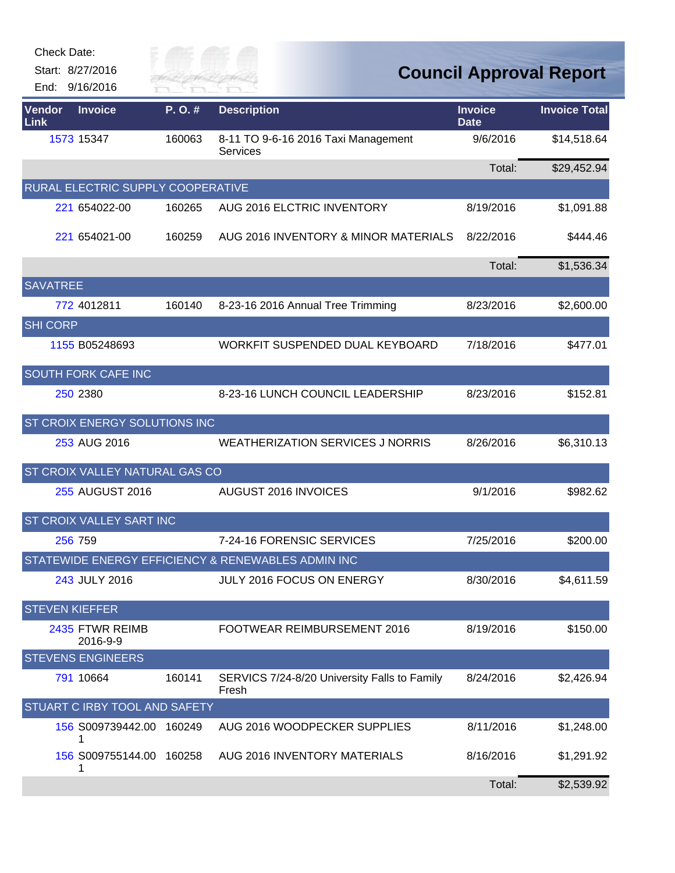| <b>Check Date:</b>    | Start: 8/27/2016                  | City of   |                                                        |                               |                                |
|-----------------------|-----------------------------------|-----------|--------------------------------------------------------|-------------------------------|--------------------------------|
|                       | End: 9/16/2016                    | River Fai |                                                        |                               | <b>Council Approval Report</b> |
| Vendor<br>Link        | <b>Invoice</b>                    | P.O.#     | <b>Description</b>                                     | <b>Invoice</b><br><b>Date</b> | <b>Invoice Total</b>           |
|                       | 1573 15347                        | 160063    | 8-11 TO 9-6-16 2016 Taxi Management<br><b>Services</b> | 9/6/2016                      | \$14,518.64                    |
|                       |                                   |           |                                                        | Total:                        | \$29,452.94                    |
|                       | RURAL ELECTRIC SUPPLY COOPERATIVE |           |                                                        |                               |                                |
|                       | 221 654022-00                     | 160265    | AUG 2016 ELCTRIC INVENTORY                             | 8/19/2016                     | \$1,091.88                     |
|                       | 221 654021-00                     | 160259    | AUG 2016 INVENTORY & MINOR MATERIALS                   | 8/22/2016                     | \$444.46                       |
|                       |                                   |           |                                                        | Total:                        | \$1,536.34                     |
| <b>SAVATREE</b>       |                                   |           |                                                        |                               |                                |
|                       | 772 4012811                       | 160140    | 8-23-16 2016 Annual Tree Trimming                      | 8/23/2016                     | \$2,600.00                     |
| <b>SHI CORP</b>       |                                   |           |                                                        |                               |                                |
|                       | 1155 B05248693                    |           | WORKFIT SUSPENDED DUAL KEYBOARD                        | 7/18/2016                     | \$477.01                       |
|                       | SOUTH FORK CAFE INC               |           |                                                        |                               |                                |
|                       | 250 2380                          |           | 8-23-16 LUNCH COUNCIL LEADERSHIP                       | 8/23/2016                     | \$152.81                       |
|                       | ST CROIX ENERGY SOLUTIONS INC     |           |                                                        |                               |                                |
|                       | 253 AUG 2016                      |           | <b>WEATHERIZATION SERVICES J NORRIS</b>                | 8/26/2016                     | \$6,310.13                     |
|                       | ST CROIX VALLEY NATURAL GAS CO    |           |                                                        |                               |                                |
|                       | 255 AUGUST 2016                   |           | AUGUST 2016 INVOICES                                   | 9/1/2016                      | \$982.62                       |
|                       | ST CROIX VALLEY SART INC          |           |                                                        |                               |                                |
|                       | 256 759                           |           | 7-24-16 FORENSIC SERVICES                              | 7/25/2016                     | \$200.00                       |
|                       |                                   |           | STATEWIDE ENERGY EFFICIENCY & RENEWABLES ADMIN INC     |                               |                                |
|                       | 243 JULY 2016                     |           | JULY 2016 FOCUS ON ENERGY                              | 8/30/2016                     | \$4,611.59                     |
| <b>STEVEN KIEFFER</b> |                                   |           |                                                        |                               |                                |
|                       | 2435 FTWR REIMB<br>2016-9-9       |           | FOOTWEAR REIMBURSEMENT 2016                            | 8/19/2016                     | \$150.00                       |
|                       | <b>STEVENS ENGINEERS</b>          |           |                                                        |                               |                                |
|                       | 791 10664                         | 160141    | SERVICS 7/24-8/20 University Falls to Family<br>Fresh  | 8/24/2016                     | \$2,426.94                     |
|                       | STUART C IRBY TOOL AND SAFETY     |           |                                                        |                               |                                |
|                       | 156 S009739442.00 160249<br>1     |           | AUG 2016 WOODPECKER SUPPLIES                           | 8/11/2016                     | \$1,248.00                     |
|                       | 156 S009755144.00 160258<br>1     |           | AUG 2016 INVENTORY MATERIALS                           | 8/16/2016                     | \$1,291.92                     |
|                       |                                   |           |                                                        | Total:                        | \$2,539.92                     |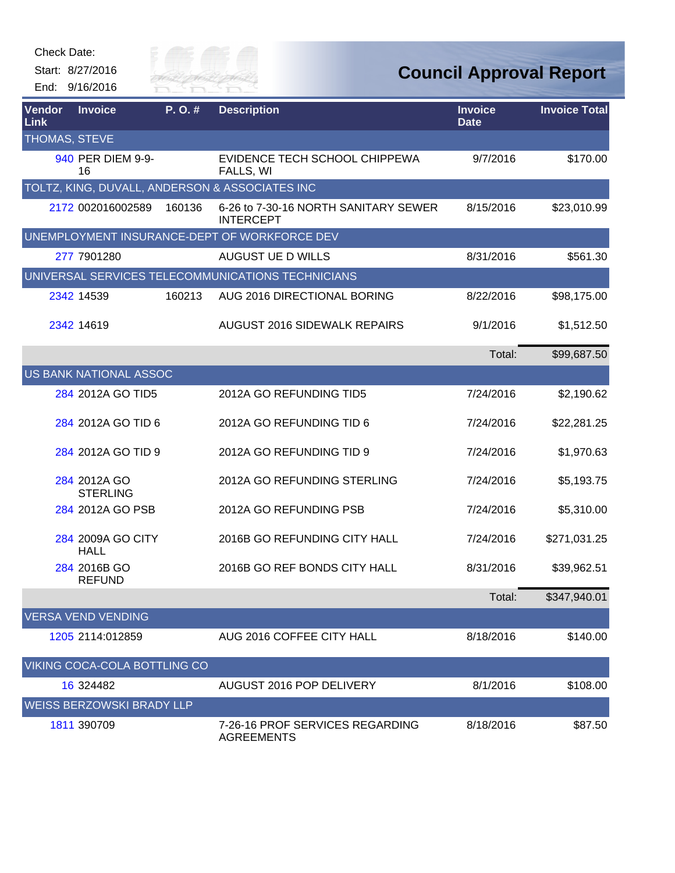| Check Date:                  |                                    |                      |                                                          |                                |                      |
|------------------------------|------------------------------------|----------------------|----------------------------------------------------------|--------------------------------|----------------------|
|                              | Start: 8/27/2016<br>End: 9/16/2016 | City of<br>River Fai |                                                          | <b>Council Approval Report</b> |                      |
| <b>Vendor</b><br><b>Link</b> | <b>Invoice</b>                     | P.O.#                | <b>Description</b>                                       | <b>Invoice</b><br><b>Date</b>  | <b>Invoice Total</b> |
| THOMAS, STEVE                |                                    |                      |                                                          |                                |                      |
|                              | 940 PER DIEM 9-9-<br>16            |                      | EVIDENCE TECH SCHOOL CHIPPEWA<br>FALLS, WI               | 9/7/2016                       | \$170.00             |
|                              |                                    |                      | TOLTZ, KING, DUVALL, ANDERSON & ASSOCIATES INC           |                                |                      |
|                              | 2172 002016002589                  | 160136               | 6-26 to 7-30-16 NORTH SANITARY SEWER<br><b>INTERCEPT</b> | 8/15/2016                      | \$23,010.99          |
|                              |                                    |                      | UNEMPLOYMENT INSURANCE-DEPT OF WORKFORCE DEV             |                                |                      |
|                              | 277 7901280                        |                      | AUGUST UE D WILLS                                        | 8/31/2016                      | \$561.30             |
|                              |                                    |                      | UNIVERSAL SERVICES TELECOMMUNICATIONS TECHNICIANS        |                                |                      |
|                              | 2342 14539                         | 160213               | AUG 2016 DIRECTIONAL BORING                              | 8/22/2016                      | \$98,175.00          |
|                              | 2342 14619                         |                      | <b>AUGUST 2016 SIDEWALK REPAIRS</b>                      | 9/1/2016                       | \$1,512.50           |
|                              |                                    |                      |                                                          | Total:                         | \$99,687.50          |
|                              | US BANK NATIONAL ASSOC             |                      |                                                          |                                |                      |
|                              | 284 2012A GO TID5                  |                      | 2012A GO REFUNDING TID5                                  | 7/24/2016                      | \$2,190.62           |
|                              | 284 2012A GO TID 6                 |                      | 2012A GO REFUNDING TID 6                                 | 7/24/2016                      | \$22,281.25          |
|                              | 284 2012A GO TID 9                 |                      | 2012A GO REFUNDING TID 9                                 | 7/24/2016                      | \$1,970.63           |
|                              | 284 2012A GO<br><b>STERLING</b>    |                      | 2012A GO REFUNDING STERLING                              | 7/24/2016                      | \$5,193.75           |
|                              | 284 2012A GO PSB                   |                      | 2012A GO REFUNDING PSB                                   | 7/24/2016                      | \$5,310.00           |
|                              | 284 2009A GO CITY<br><b>HALL</b>   |                      | 2016B GO REFUNDING CITY HALL                             | 7/24/2016                      | \$271,031.25         |
|                              | 284 2016B GO<br><b>REFUND</b>      |                      | 2016B GO REF BONDS CITY HALL                             | 8/31/2016                      | \$39,962.51          |
|                              |                                    |                      |                                                          | Total:                         | \$347,940.01         |
|                              | <b>VERSA VEND VENDING</b>          |                      |                                                          |                                |                      |
|                              | 1205 2114:012859                   |                      | AUG 2016 COFFEE CITY HALL                                | 8/18/2016                      | \$140.00             |
|                              | VIKING COCA-COLA BOTTLING CO       |                      |                                                          |                                |                      |
|                              | 16 324482                          |                      | AUGUST 2016 POP DELIVERY                                 | 8/1/2016                       | \$108.00             |
|                              | <b>WEISS BERZOWSKI BRADY LLP</b>   |                      |                                                          |                                |                      |
|                              | 1811 390709                        |                      | 7-26-16 PROF SERVICES REGARDING<br><b>AGREEMENTS</b>     | 8/18/2016                      | \$87.50              |